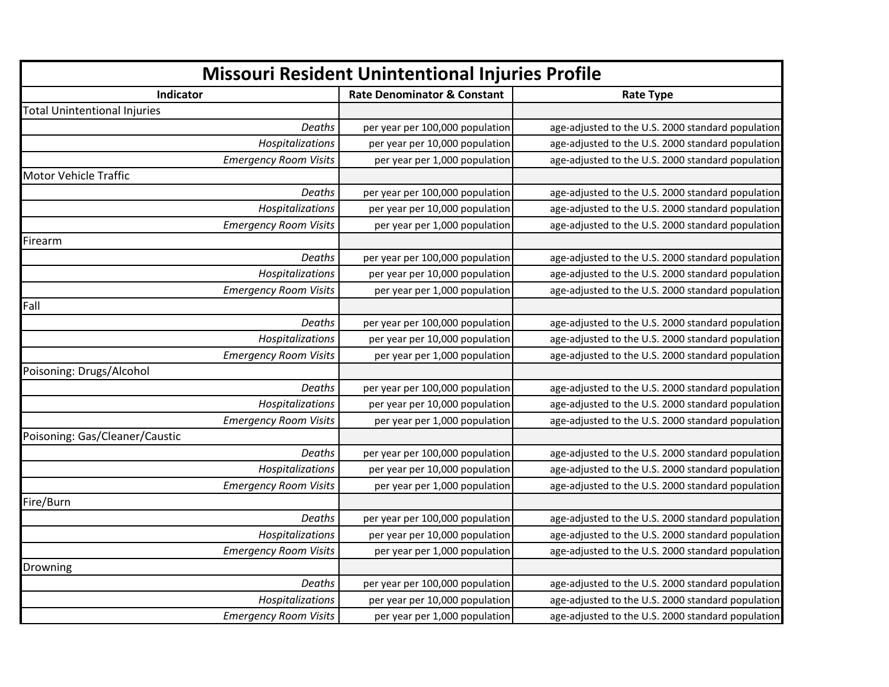| <b>Missouri Resident Unintentional Injuries Profile</b> |                                        |                                                   |
|---------------------------------------------------------|----------------------------------------|---------------------------------------------------|
| Indicator                                               | <b>Rate Denominator &amp; Constant</b> | <b>Rate Type</b>                                  |
| <b>Total Unintentional Injuries</b>                     |                                        |                                                   |
| Deaths                                                  | per year per 100,000 population        | age-adjusted to the U.S. 2000 standard population |
| Hospitalizations                                        | per year per 10,000 population         | age-adjusted to the U.S. 2000 standard population |
| <b>Emergency Room Visits</b>                            | per year per 1,000 population          | age-adjusted to the U.S. 2000 standard population |
| Motor Vehicle Traffic                                   |                                        |                                                   |
| Deaths                                                  | per year per 100,000 population        | age-adjusted to the U.S. 2000 standard population |
| Hospitalizations                                        | per year per 10,000 population         | age-adjusted to the U.S. 2000 standard population |
| <b>Emergency Room Visits</b>                            | per year per 1,000 population          | age-adjusted to the U.S. 2000 standard population |
| Firearm                                                 |                                        |                                                   |
| Deaths                                                  | per year per 100,000 population        | age-adjusted to the U.S. 2000 standard population |
| Hospitalizations                                        | per year per 10,000 population         | age-adjusted to the U.S. 2000 standard population |
| <b>Emergency Room Visits</b>                            | per year per 1,000 population          | age-adjusted to the U.S. 2000 standard population |
| Fall                                                    |                                        |                                                   |
| Deaths                                                  | per year per 100,000 population        | age-adjusted to the U.S. 2000 standard population |
| Hospitalizations                                        | per year per 10,000 population         | age-adjusted to the U.S. 2000 standard population |
| <b>Emergency Room Visits</b>                            | per year per 1,000 population          | age-adjusted to the U.S. 2000 standard population |
| Poisoning: Drugs/Alcohol                                |                                        |                                                   |
| Deaths                                                  | per year per 100,000 population        | age-adjusted to the U.S. 2000 standard population |
| Hospitalizations                                        | per year per 10,000 population         | age-adjusted to the U.S. 2000 standard population |
| <b>Emergency Room Visits</b>                            | per year per 1,000 population          | age-adjusted to the U.S. 2000 standard population |
| Poisoning: Gas/Cleaner/Caustic                          |                                        |                                                   |
| Deaths                                                  | per year per 100,000 population        | age-adjusted to the U.S. 2000 standard population |
| Hospitalizations                                        | per year per 10,000 population         | age-adjusted to the U.S. 2000 standard population |
| <b>Emergency Room Visits</b>                            | per year per 1,000 population          | age-adjusted to the U.S. 2000 standard population |
| Fire/Burn                                               |                                        |                                                   |
| Deaths                                                  | per year per 100,000 population        | age-adjusted to the U.S. 2000 standard population |
| Hospitalizations                                        | per year per 10,000 population         | age-adjusted to the U.S. 2000 standard population |
| <b>Emergency Room Visits</b>                            | per year per 1,000 population          | age-adjusted to the U.S. 2000 standard population |
| Drowning                                                |                                        |                                                   |
| Deaths                                                  | per year per 100,000 population        | age-adjusted to the U.S. 2000 standard population |
| Hospitalizations                                        | per year per 10,000 population         | age-adjusted to the U.S. 2000 standard population |
| <b>Emergency Room Visits</b>                            | per year per 1,000 population          | age-adjusted to the U.S. 2000 standard population |